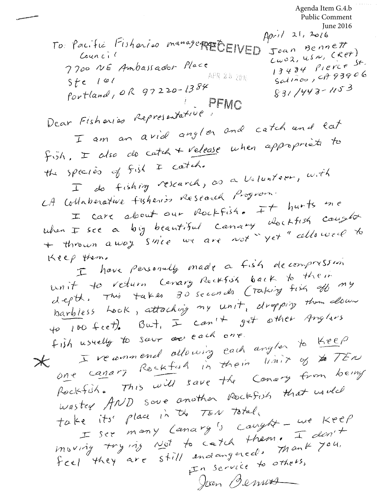Public Comment June 2016<br>April 21, 2016 To Pacific Fisheries management EIVED  $\int$ Joan Bennett  $T^{oan}$   $(9, 0, 0)$ <br> $Cw02$ ,  $USw$ ,  $(Sw1)$ Council  $13434$   $1493906$ 7700 NE Ambassador Place  $3484$   $1222$ <br>Salinos, cf 93906 - APR %5 2016  $ste$   $101$  $87e$  101<br>Portland, OR 97220-1384  $831/443 - 1153$ Portland, OR 1. -<br>Dear Fisharias Representative, PFMC<br>T am an avid angles and Fisharias Representations and catch and lat I am an avid any....<br>fish, I also de catch + release when appropriets to the species of fish I catch. peciès of fish + course.<br>I do fishing research, as a Volunteer, with CA collaborative tisheri's Research Program. ottaberative fisheries Research 1797<br>I care about our Rockfish. It hurts one I care about our Pocktish. Hockfish cought<br>when I see a big beautiful canary dockfish cought when  $\pm$  see a big beautiful canaly  $y e t$  allowed to<br>+ thrown away since we are not  $y e t$  allowed to Keep them. them.<br>I have personally made a fish decompression unit to return Canary Rockfish back to their unit to return Canary Rucktur back to any<br>depth, This takes 30 seconds Craking fish of my depth. This takes subsection in dropping them down<br>barbless heak, attaching my unit, dropping them down barbless rook, allocating  $\frac{1}{x}$  and  $\frac{1}{y}$  other Anglers<br>to 100 feet). But,  $\pm$  can't get other Anglers for the fictions in the cach one. fish usuelly to sour or each one.<br>I recommend allowing each anglor to Keep I recommend allowing each any in the TEN<br>one canary Rockfuld in their limit of the TEN  $\overline{\phantom{a}}$ one canary Rocktan in them Conary from being<br>Rockfish. This will save the Conary from being Rockfish. This was sure nother Rockfish that used<br>wasted AND sove another Rockfish that used wasted MOD South the TEN Total Le its' place in the TEN lords,<br>I see many Lanary's canyfit - we Keep I see many Lanary's Caught I don't<br>inwing trying Not to catch them. I don't feel they are still endougered. Thank 704.<br>In service to others,

Agenda Item G.4.b